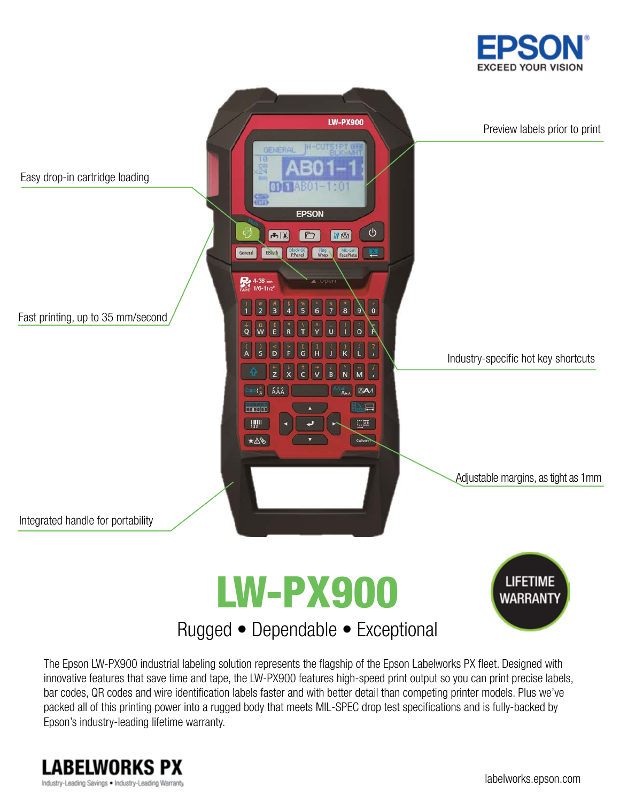







The Epson LW-PX900 industrial labeling solution represents the flagship of the Epson Labelworks PX fleet. Designed with innovative features that save time and tape, the LW-PX900 features high-speed print output so you can print precise labels, bar codes, QR codes and wire identification labels faster and with better detail than competing printer models. Plus we've packed all of this printing power into a rugged body that meets MIL-SPEC drop test specifications and is fully-backed by Epson's industry-leading lifetime warranty.

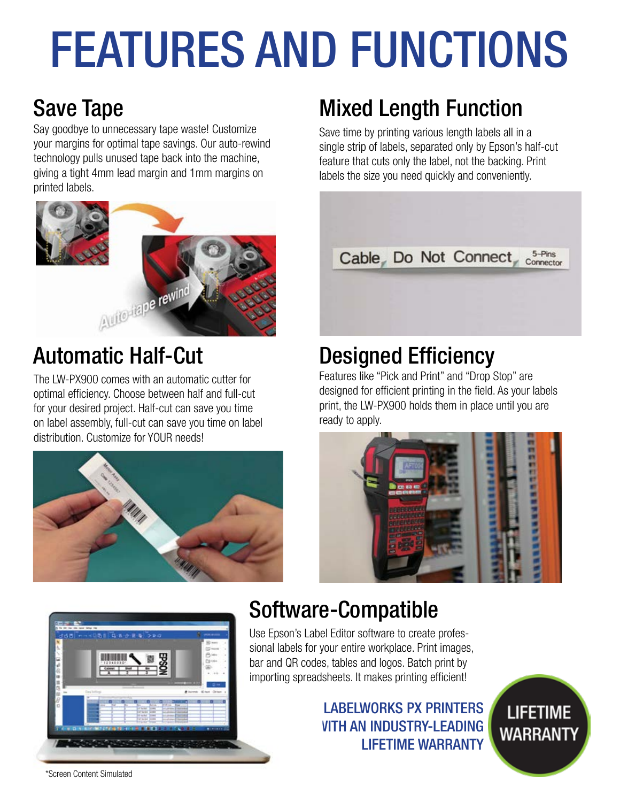# FEATURES AND FUNCTIONS

# Save Tape

Say goodbye to unnecessary tape waste! Customize your margins for optimal tape savings. Our auto-rewind technology pulls unused tape back into the machine, giving a tight 4mm lead margin and 1mm margins on printed labels.



# Automatic Half-Cut

The LW-PX900 comes with an automatic cutter for optimal efficiency. Choose between half and full-cut for your desired project. Half-cut can save you time on label assembly, full-cut can save you time on label distribution. Customize for YOUR needs!



# Mixed Length Function

Save time by printing various length labels all in a single strip of labels, separated only by Epson's half-cut feature that cuts only the label, not the backing. Print labels the size you need quickly and conveniently.



## Designed Efficiency

Features like "Pick and Print" and "Drop Stop" are designed for efficient printing in the field. As your labels print, the LW-PX900 holds them in place until you are ready to apply.





### Software-Compatible

Use Epson's Label Editor software to create professional labels for your entire workplace. Print images, bar and QR codes, tables and logos. Batch print by importing spreadsheets. It makes printing efficient!

### LABELWORKS PX PRINTERS **VITH AN INDUSTRY-LEADING** LIFETIME WARRANTY

**LIFETIME WARRANTY** 

\*Screen Content Simulated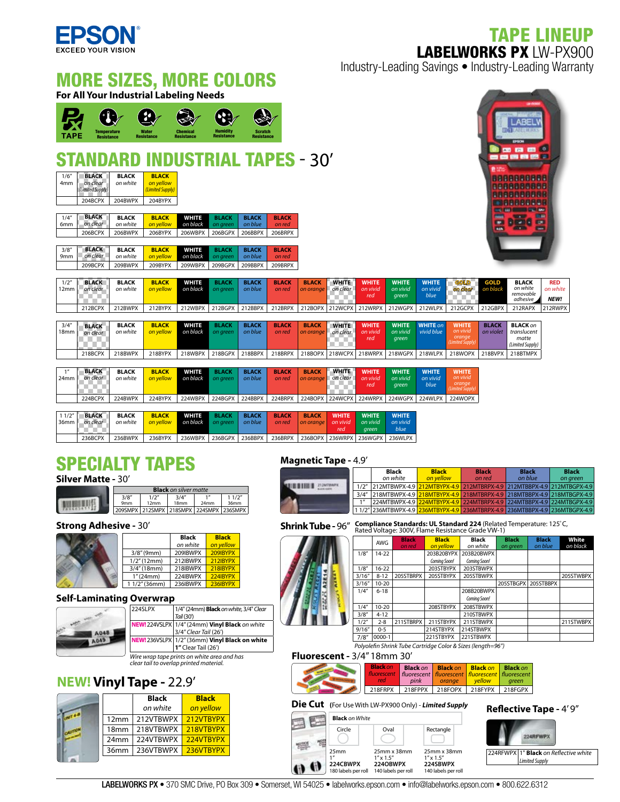TAPE LINEUP LABELWORKS PX LW-PX900



MORE SIZES, MORE COLORS

Industry-Leading Savings • Industry-Leading Warranty

| <u>MUNIC OREU, MUNE OULUNU</u><br><b>For All Your Industrial Labeling Needs</b> |                                                                   |                                                |                                                                                         |                                      |                                                                     |                                     |                                   |                           |                                 |                                   |                                   |                                  |                                                       |                           |                                                                                                             |                                |
|---------------------------------------------------------------------------------|-------------------------------------------------------------------|------------------------------------------------|-----------------------------------------------------------------------------------------|--------------------------------------|---------------------------------------------------------------------|-------------------------------------|-----------------------------------|---------------------------|---------------------------------|-----------------------------------|-----------------------------------|----------------------------------|-------------------------------------------------------|---------------------------|-------------------------------------------------------------------------------------------------------------|--------------------------------|
| <b>TAPE</b>                                                                     | $\left( \cdot \right)$<br><b>Temperature</b><br><b>Resistance</b> |                                                | $\frac{1}{2}$<br>Water<br><b>Resistance</b>                                             | <b>Chemical</b><br><b>Resistance</b> | $\left( \mathbf{S} \right)$<br><b>Humidity</b><br><b>Resistance</b> | <b>Scratch</b><br><b>Resistance</b> |                                   |                           |                                 |                                   |                                   |                                  |                                                       |                           | <b>ABEL</b><br>ana mwaka wa 197<br>EPSON                                                                    |                                |
| 1/6''<br>4mm                                                                    | <b>BLACK</b><br>on clear<br>(Limited Supply,                      | <b>BLACK</b><br>on white                       | <b>STANDARD INDUSTRIAL TAPES - 30'</b><br><b>BLACK</b><br>on yellow<br>(Limited Supply) |                                      |                                                                     |                                     |                                   |                           |                                 |                                   |                                   |                                  |                                                       |                           | -----<br>8888888888<br><b>BRRAADDASS</b><br><b>RRABBBBBBBB</b>                                              |                                |
| 1/4"<br>6mm                                                                     | 204BCPX<br><b>BLACK</b><br>on clear<br>206BCPX                    | 204BWPX<br><b>BLACK</b><br>on white<br>206BWPX | 204BYPX<br><b>BLACK</b><br>on yellow<br>206BYPX                                         | <b>WHITE</b><br>on black<br>206WBPX  | <b>BLACK</b><br>on green<br>206BGPX                                 | <b>BLACK</b><br>on blue<br>206BBPX  | <b>BLACK</b><br>on red<br>206BRPX |                           |                                 |                                   |                                   |                                  |                                                       | w.<br><b>Kalk</b>         | <b>DIARRESSE</b><br>wa as I was see<br><b>PART</b><br><b>COME</b><br>п<br><b>COMPANY</b><br><b>Contract</b> | ●■<br><b>FEE</b>               |
| 3/8''<br>9mm                                                                    | <b>BLACK</b><br>on clear<br>209BCPX                               | <b>BLACK</b><br>on white<br>209BWPX            | <b>BLACK</b><br>on yellow<br>209BYPX                                                    | <b>WHITE</b><br>on black<br>209WBPX  | <b>BLACK</b><br>on green<br>209BGPX                                 | <b>BLACK</b><br>on blue<br>209BBPX  | <b>BLACK</b><br>on red<br>209BRPX |                           |                                 |                                   |                                   |                                  |                                                       |                           |                                                                                                             |                                |
| 1/2''<br>12mm                                                                   | <b>BLACK</b><br>on clear                                          | <b>BLACK</b><br>on white                       | <b>BLACK</b><br>on yellow                                                               | <b>WHITE</b><br>on black             | <b>BLACK</b><br>on green                                            | <b>BLACK</b><br>on blue             | <b>BLACK</b><br>on red            | <b>BLACK</b><br>on orange | <b>WHITE</b><br>on clear        | <b>WHITE</b><br>on vivid<br>red   | <b>WHITE</b><br>on vivid<br>green | <b>WHITE</b><br>on vivid<br>blue | GOLD<br>on clear<br>n Tin                             | <b>GOLD</b><br>on black   | <b>BLACK</b><br>on white<br>removable<br>adhesive                                                           | <b>RED</b><br>on white<br>NEW! |
|                                                                                 | 212BCPX                                                           | 212BWPX                                        | 212BYPX                                                                                 | 212WBPX                              | 212BGPX                                                             | 212BBPX                             | 212BRPX                           | 212BOPX                   | 212WCPX                         | 212WRPX                           | 212WGPX                           | 212WLPX                          | 212GCPX                                               | 212GBPX                   | 212RAPX                                                                                                     | 212RWPX                        |
| 3/4''<br>18mm                                                                   | <b>BLACK</b><br>on clear<br>T.<br>a s                             | <b>BLACK</b><br>on white                       | <b>BLACK</b><br>on yellow                                                               | <b>WHITE</b><br>on black             | <b>BLACK</b><br>on green                                            | <b>BLACK</b><br>on blue             | <b>BLACK</b><br>on red            | <b>BLACK</b><br>on orange | <b>WHITE</b><br>on clear<br>888 | <b>WHITE</b><br>on vivid<br>red   | <b>WHITE</b><br>on vivid<br>green | <b>WHITE</b> on<br>vivid blue    | <b>WHITE</b><br>on vivid<br>orange<br>Limited Supply, | <b>BLACK</b><br>on violet | <b>BLACK on</b><br>translucent<br>matte<br>(Limited Supply)                                                 |                                |
|                                                                                 | 218BCPX                                                           | 218BWPX                                        | 218BYPX                                                                                 | 218WBPX                              | 218BGPX                                                             | 218BBPX                             | 218BRPX                           | 218BOPX                   | 218WCPX                         | 218WRPX                           | 218WGPX                           | 218WLPX                          | 218WOPX                                               | 218BVPX                   | 218BTMPX                                                                                                    |                                |
| 1''<br>24mm                                                                     | <b>BLACK</b><br>on clear                                          | <b>BLACK</b><br>on white                       | <b>BLACK</b><br>on yellow                                                               | WHITE<br>on black                    | <b>BLACK</b><br>on green                                            | <b>BLACK</b><br>on blue             | <b>BLACK</b><br>on red            | <b>BLACK</b><br>on orange | <b>WHITE</b><br>on clear        | <b>WHITE</b><br>on vivid<br>red   | <b>WHITE</b><br>on vivid<br>green | <b>WHITE</b><br>on vivid<br>blue | <b>WHITE</b><br>on vivid<br>orange<br>(Limited Supply |                           |                                                                                                             |                                |
|                                                                                 | 224BCPX                                                           | 224BWPX                                        | 224BYPX                                                                                 | 224WBPX                              | 224BGPX                                                             | 224BBPX                             | 224BRPX                           | 224BOPX                   | 224WCPX                         | 224WRPX                           | 224WGPX                           | 224WLPX                          | 224WOPX                                               |                           |                                                                                                             |                                |
| 11/2"<br>36mm                                                                   | <b>BLACK</b><br>on clear                                          | <b>BLACK</b><br>on white                       | <b>BLACK</b><br>on yellow                                                               | WHITE<br>on black                    | <b>BLACK</b><br>on green                                            | <b>BLACK</b><br>on blue             | <b>BLACK</b><br>on red            | <b>BLACK</b><br>on orange | <b>WHITE</b><br>on vivid<br>red | <b>WHITE</b><br>on vivid<br>green | <b>WHITE</b><br>on vivid<br>blue  |                                  |                                                       |                           |                                                                                                             |                                |
|                                                                                 | 236BCPX                                                           | 236BWPX                                        | 236BYPX                                                                                 | 236WBPX                              | 236BGPX                                                             | 236BBPX                             | 236BRPX                           | 236BOPX                   | 236WRPX                         | 236WGPX                           | 236WLPX                           |                                  |                                                       |                           |                                                                                                             |                                |

### SPECIALTY TAPES

**Silver Matte -** 30'

| <b>Black</b> on silver matte |                                         |                           |      |               |  |  |
|------------------------------|-----------------------------------------|---------------------------|------|---------------|--|--|
| 3/8''<br>9 <sub>mm</sub>     | 1/2''<br>12mm                           | 3/4''<br>18 <sub>mm</sub> | 24mm | 11/2"<br>36mm |  |  |
|                              | 209SMPX 212SMPX 218SMPX 224SMPX 236SMPX |                           |      |               |  |  |

#### Strong Adhesive - 30' A clear image for all identification applications.

|                 | <b>Black</b> | <b>Black</b>    |
|-----------------|--------------|-----------------|
|                 | on white     | on vellow       |
| 3/8''(9mm)      | 209IBWPX     | 209IBYPX        |
| 1/2''(12mm)     | 212IBWPX     | <b>212IBYPX</b> |
| 3/4''(18mm)     | 218IBWPX     | 218IBYPX        |
| 1''(24mm)       | 224IBWPX     | 224IBYPX        |
| $11/2$ " (36mm) | 236IBWPX     | 236IBYPX        |
|                 |              |                 |

#### **Self-Laminating Overwrap**

| 224SLPX | 1/4" (24mm) Black on white, 3/4" Clear                                                 |
|---------|----------------------------------------------------------------------------------------|
|         | Tail (30')                                                                             |
|         | NEW! 224VSLPX   1/4" (24mm) Vinyl Black on white                                       |
|         | 3/4" Clear Tail (26')                                                                  |
|         | NEW! 236VSLPX   1/2" (36mm) Vinyl Black on white                                       |
|         | 1" Clear Tail (26')                                                                    |
|         | Wire wrap tape prints on white area and has<br>clear tail to overlap printed material. |

### **NEW! Vinyl Tape -** 22.9'

|                  | <b>Black</b> | <b>Black</b> |  |
|------------------|--------------|--------------|--|
|                  | on white     | on yellow    |  |
| 12mm             | 212VTBWPX    | 212VTBYPX    |  |
| 18 <sub>mm</sub> | 218VTBWPX    | 218VTBYPX    |  |
| 24mm             | 224VTBWPX    | 224VTBYPX    |  |
| 36 <sub>mm</sub> | 236VTBWPX    | 236VTBYPX    |  |
|                  |              |              |  |

#### **Magnetic Tape -** 4.9'

|                    | Black<br>on white                                                            | <b>Black</b><br>on vellow | <b>Black</b><br>on red | <b>Black</b><br>on blue | <b>Black</b><br>on green |
|--------------------|------------------------------------------------------------------------------|---------------------------|------------------------|-------------------------|--------------------------|
|                    | 1/2" 212MTBWPX-4.9 212MTBYPX-4.9 212MTBRPX-4.9 212MTBBPX-4.9 212MTBGPX-4.9   |                           |                        |                         |                          |
| 3/4''              | 218MTBWPX-4.9 218MTBYPX-4.9 218MTBRPX-4.9 218MTBBPX-4.9 218MTBGPX-4.9        |                           |                        |                         |                          |
| $1$ $\prime\prime$ | 224MTBWPX-4.9 224MTBYPX-4.9 224MTBRPX-4.9 224MTBBPX-4.9 224MTBGPX-4.9        |                           |                        |                         |                          |
|                    | 1 1/2" 236MTBWPX-4.9 236MTBYPX-4.9 236MTBRPX-4.9 236MTBBPX-4.9 236MTBGPX-4.9 |                           |                        |                         |                          |

**Shrink Tube - 96"** Compliance Standards: UL Standard 224 (Related Temperature: 125°C, **Rated VII** Faced Voltage: 300V, Flame Resistance Grade VW-1)

|        | AWG        | <b>Black</b><br>on red | <b>Black</b><br>on yellow | Black<br>on white | <b>Black</b><br>on green | <b>Black</b><br>on blue | White<br>on black |
|--------|------------|------------------------|---------------------------|-------------------|--------------------------|-------------------------|-------------------|
| 1/8''  | $14 - 22$  |                        | 203B20BYPX                | 203B20BWPX        |                          |                         |                   |
|        |            |                        | Comina Soon!              | Coming Soon!      |                          |                         |                   |
| 1/8''  | $16 - 22$  |                        | 203STBYPX                 | 203STBWPX         |                          |                         |                   |
| 3/16'' | $8 - 12$   | 205STBRPX              | 205STBYPX                 | 205STBWPX         |                          |                         | 205STWBPX         |
| 3/16'' | $10 - 20$  |                        |                           |                   | 205STBGPX                | 205STBBPX               |                   |
| 1/4"   | $6 - 18$   |                        |                           | 208B20BWPX        |                          |                         |                   |
|        |            |                        |                           | Comina Soon!      |                          |                         |                   |
| 1/4"   | $10 - 20$  |                        | 208STBYPX                 | 208STBWPX         |                          |                         |                   |
| 3/8''  | $4 - 12$   |                        |                           | 210STBWPX         |                          |                         |                   |
| 1/2"   | $2 - 8$    | 211STBRPX              | 211STBYPX                 | 211STBWPX         |                          |                         | 211STWBPX         |
| 9/16'' | $0 - 5$    |                        | 214STBYPX                 | 214STBWPX         |                          |                         |                   |
| 7/8''  | $0000 - 1$ |                        | 221STBYPX                 | 221STBWPX         |                          |                         |                   |
| .      |            |                        |                           |                   |                          |                         |                   |

*Polyole n Shrink Tube Cartridge Color & Sizes (length=96")*

#### **Fluorescent -** 3/4" 18mm 30'









224RFWPX **224RFWPX 1" Black** on Reflective white *Limited Supply*

**A** 

魓